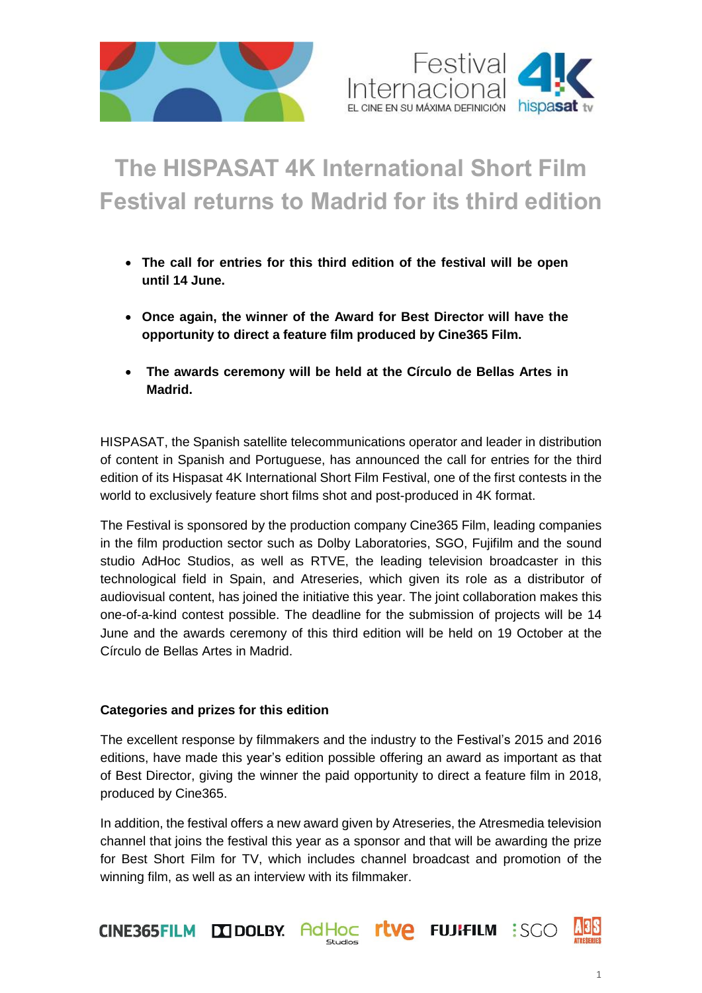



# **The HISPASAT 4K International Short Film Festival returns to Madrid for its third edition**

- **The call for entries for this third edition of the festival will be open until 14 June.**
- **Once again, the winner of the Award for Best Director will have the opportunity to direct a feature film produced by Cine365 Film.**
- **The awards ceremony will be held at the Círculo de Bellas Artes in Madrid.**

HISPASAT, the Spanish satellite telecommunications operator and leader in distribution of content in Spanish and Portuguese, has announced the call for entries for the third edition of its Hispasat 4K International Short Film Festival, one of the first contests in the world to exclusively feature short films shot and post-produced in 4K format.

The Festival is sponsored by the production company Cine365 Film, leading companies in the film production sector such as Dolby Laboratories, SGO, Fujifilm and the sound studio AdHoc Studios, as well as RTVE, the leading television broadcaster in this technological field in Spain, and Atreseries, which given its role as a distributor of audiovisual content, has joined the initiative this year. The joint collaboration makes this one-of-a-kind contest possible. The deadline for the submission of projects will be 14 June and the awards ceremony of this third edition will be held on 19 October at the Círculo de Bellas Artes in Madrid.

## **Categories and prizes for this edition**

The excellent response by filmmakers and the industry to the Festival's 2015 and 2016 editions, have made this year's edition possible offering an award as important as that of Best Director, giving the winner the paid opportunity to direct a feature film in 2018, produced by Cine365.

In addition, the festival offers a new award given by Atreseries, the Atresmedia television channel that joins the festival this year as a sponsor and that will be awarding the prize for Best Short Film for TV, which includes channel broadcast and promotion of the winning film, as well as an interview with its filmmaker.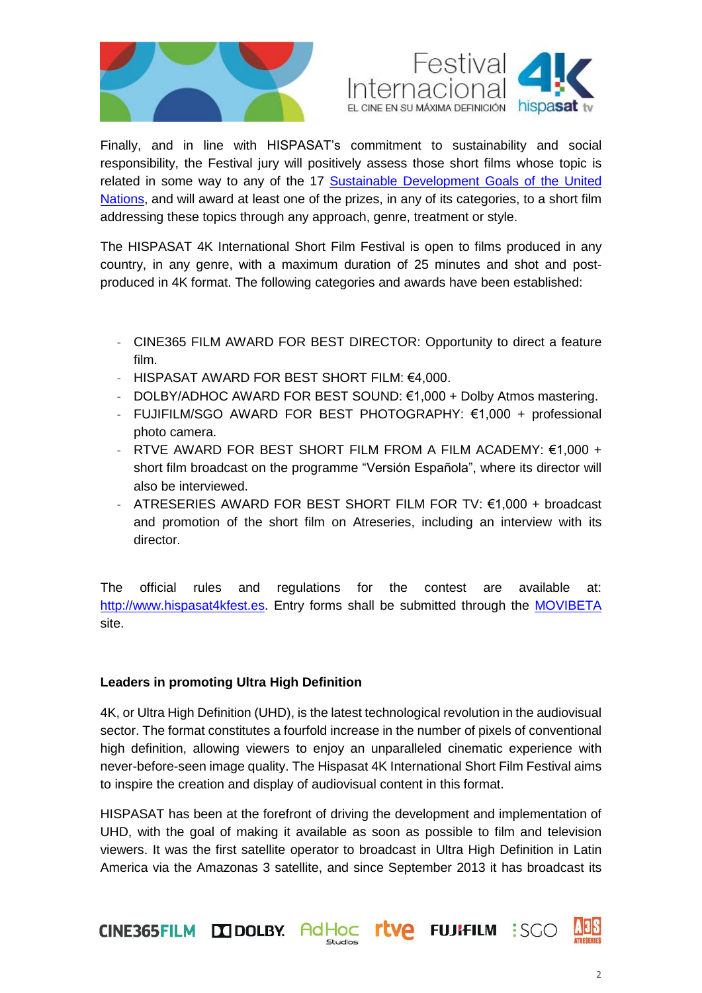



Finally, and in line with HISPASAT's commitment to sustainability and social responsibility, the Festival jury will positively assess those short films whose topic is related in some way to any of the 17 Sustainable [Development](http://www.un.org/sustainabledevelopment/es/objetivos-de-desarrollo-sostenible/) Goals of the United [Nations,](http://www.un.org/sustainabledevelopment/es/objetivos-de-desarrollo-sostenible/) and will award at least one of the prizes, in any of its categories, to a short film addressing these topics through any approach, genre, treatment or style.

The HISPASAT 4K International Short Film Festival is open to films produced in any country, in any genre, with a maximum duration of 25 minutes and shot and postproduced in 4K format. The following categories and awards have been established:

- CINE365 FILM AWARD FOR BEST DIRECTOR: Opportunity to direct a feature film.
- HISPASAT AWARD FOR BEST SHORT FILM: €4,000.
- DOLBY/ADHOC AWARD FOR BEST SOUND: €1,000 + Dolby Atmos mastering.
- FUJIFILM/SGO AWARD FOR BEST PHOTOGRAPHY: €1,000 + professional photo camera.
- RTVE AWARD FOR BEST SHORT FILM FROM A FILM ACADEMY:  $€1,000 +$ short film broadcast on the programme "Versión Española", where its director will also be interviewed.
- ATRESERIES AWARD FOR BEST SHORT FILM FOR TV:  $€1,000 + broadcast$ and promotion of the short film on Atreseries, including an interview with its director.

The official rules and regulations for the contest are available at: http://www.hispasat4kfest.es</u>. Entry forms shall be submitted through the **[MOVIBETA](http://festival.movibeta.com/web/controllers/usuarioController.php?action=4&festival=811.)** site.

## **Leaders in promoting Ultra High Definition**

4K, or Ultra High Definition (UHD), is the latest technological revolution in the audiovisual sector. The format constitutes a fourfold increase in the number of pixels of conventional high definition, allowing viewers to enjoy an unparalleled cinematic experience with never-before-seen image quality. The Hispasat 4K International Short Film Festival aims to inspire the creation and display of audiovisual content in this format.

HISPASAT has been at the forefront of driving the development and implementation of UHD, with the goal of making it available as soon as possible to film and television viewers. It was the first satellite operator to broadcast in Ultra High Definition in Latin America via the Amazonas 3 satellite, and since September 2013 it has broadcast its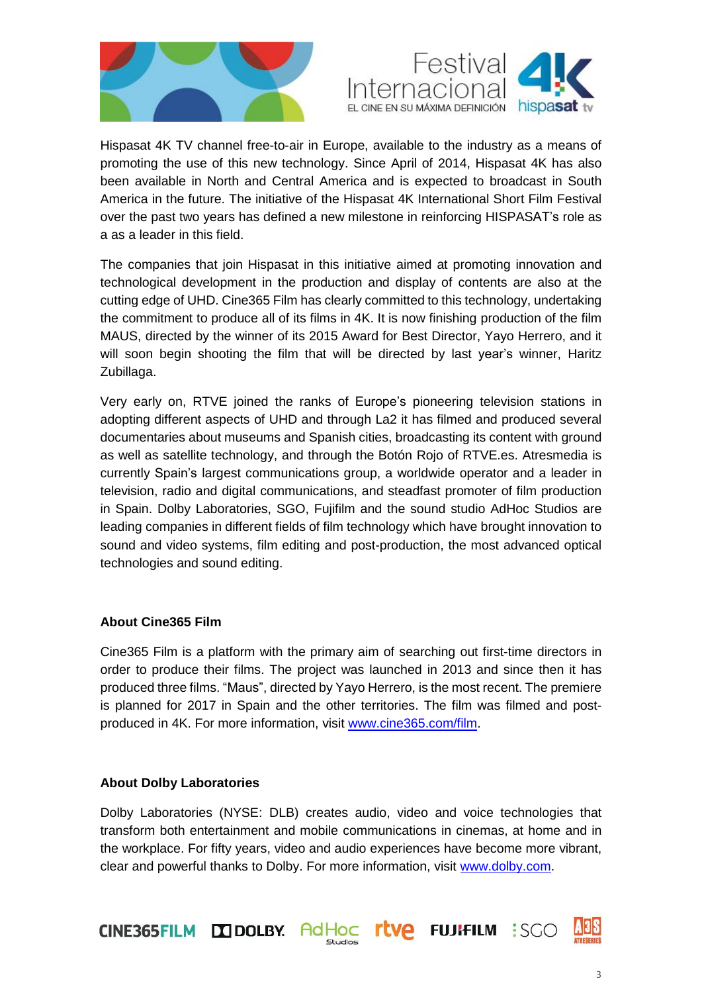



Hispasat 4K TV channel free-to-air in Europe, available to the industry as a means of promoting the use of this new technology. Since April of 2014, Hispasat 4K has also been available in North and Central America and is expected to broadcast in South America in the future. The initiative of the Hispasat 4K International Short Film Festival over the past two years has defined a new milestone in reinforcing HISPASAT's role as a as a leader in this field.

The companies that join Hispasat in this initiative aimed at promoting innovation and technological development in the production and display of contents are also at the cutting edge of UHD. Cine365 Film has clearly committed to this technology, undertaking the commitment to produce all of its films in 4K. It is now finishing production of the film MAUS, directed by the winner of its 2015 Award for Best Director, Yayo Herrero, and it will soon begin shooting the film that will be directed by last year's winner, Haritz Zubillaga.

Very early on, RTVE joined the ranks of Europe's pioneering television stations in adopting different aspects of UHD and through La2 it has filmed and produced several documentaries about museums and Spanish cities, broadcasting its content with ground as well as satellite technology, and through the Botón Rojo of RTVE.es. Atresmedia is currently Spain's largest communications group, a worldwide operator and a leader in television, radio and digital communications, and steadfast promoter of film production in Spain. Dolby Laboratories, SGO, Fujifilm and the sound studio AdHoc Studios are leading companies in different fields of film technology which have brought innovation to sound and video systems, film editing and post-production, the most advanced optical technologies and sound editing.

## **About Cine365 Film**

Cine365 Film is a platform with the primary aim of searching out first-time directors in order to produce their films. The project was launched in 2013 and since then it has produced three films. "Maus", directed by Yayo Herrero, is the most recent. The premiere is planned for 2017 in Spain and the other territories. The film was filmed and postproduced in 4K. For more information, visit [www.cine365.com/film.](http://www.cine365.com/film)

## **About Dolby Laboratories**

Dolby Laboratories (NYSE: DLB) creates audio, video and voice technologies that transform both entertainment and mobile communications in cinemas, at home and in the workplace. For fifty years, video and audio experiences have become more vibrant, clear and powerful thanks to Dolby. For more information, visit [www.dolby.com.](http://www.dolby.com/)

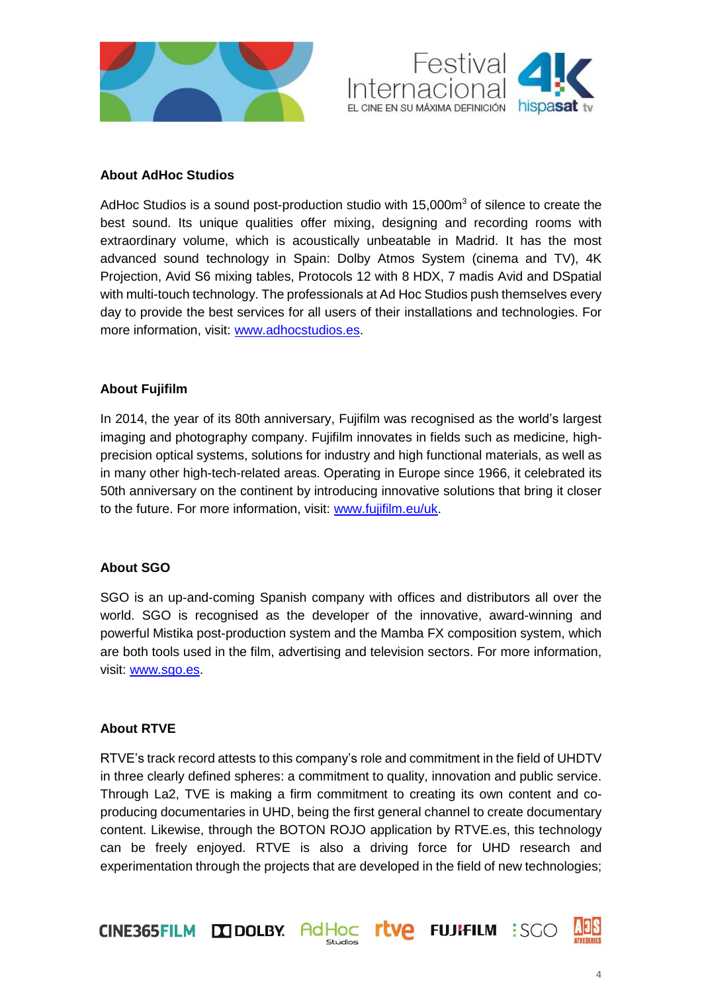



## **About AdHoc Studios**

AdHoc Studios is a sound post-production studio with  $15,000m<sup>3</sup>$  of silence to create the best sound. Its unique qualities offer mixing, designing and recording rooms with extraordinary volume, which is acoustically unbeatable in Madrid. It has the most advanced sound technology in Spain: Dolby Atmos System (cinema and TV), 4K Projection, Avid S6 mixing tables, Protocols 12 with 8 HDX, 7 madis Avid and DSpatial with multi-touch technology. The professionals at Ad Hoc Studios push themselves every day to provide the best services for all users of their installations and technologies. For more information, visit: [www.adhocstudios.es.](http://www.adhocstudios.es/)

## **About Fujifilm**

In 2014, the year of its 80th anniversary, Fujifilm was recognised as the world's largest imaging and photography company. Fujifilm innovates in fields such as medicine, highprecision optical systems, solutions for industry and high functional materials, as well as in many other high-tech-related areas. Operating in Europe since 1966, it celebrated its 50th anniversary on the continent by introducing innovative solutions that bring it closer to the future. For more information, visit: [www.fujifilm.eu/uk.](http://www.fujifilm.eu/es)

## **About SGO**

SGO is an up-and-coming Spanish company with offices and distributors all over the world. SGO is recognised as the developer of the innovative, award-winning and powerful Mistika post-production system and the Mamba FX composition system, which are both tools used in the film, advertising and television sectors. For more information, visit: [www.sgo.es.](http://www.sgo.es/)

## **About RTVE**

RTVE's track record attests to this company's role and commitment in the field of UHDTV in three clearly defined spheres: a commitment to quality, innovation and public service. Through La2, TVE is making a firm commitment to creating its own content and coproducing documentaries in UHD, being the first general channel to create documentary content. Likewise, through the BOTON ROJO application by RTVE.es, this technology can be freely enjoyed. RTVE is also a driving force for UHD research and experimentation through the projects that are developed in the field of new technologies;

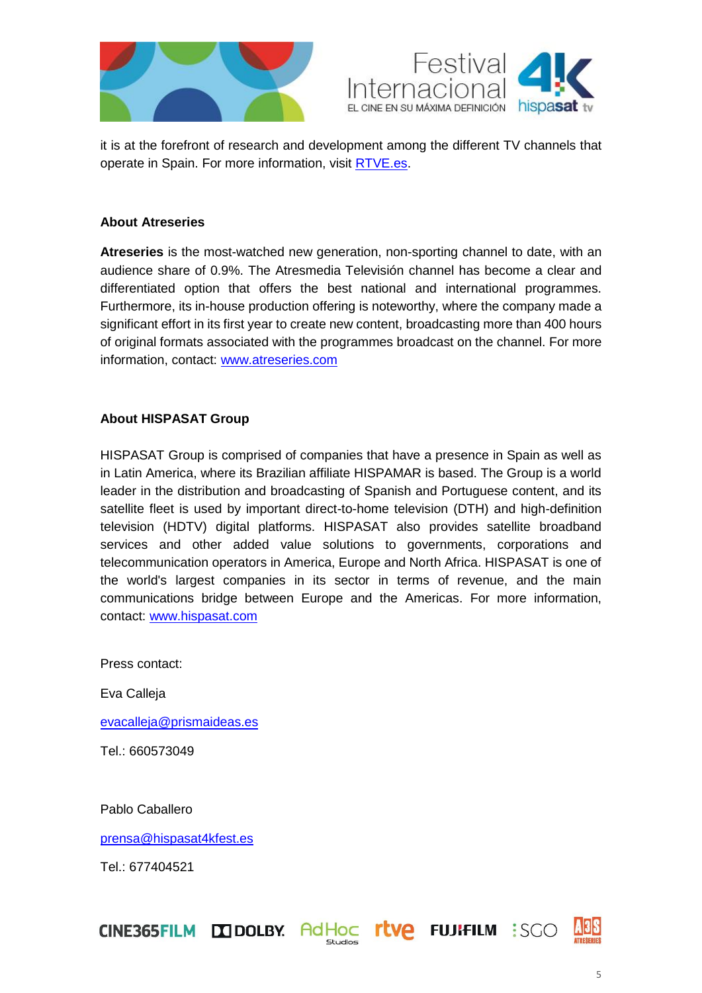



it is at the forefront of research and development among the different TV channels that operate in Spain. For more information, visit [RTVE.es.](http://rtve.es/)

## **About Atreseries**

**Atreseries** is the most-watched new generation, non-sporting channel to date, with an audience share of 0.9%. The Atresmedia Televisión channel has become a clear and differentiated option that offers the best national and international programmes. Furthermore, its in-house production offering is noteworthy, where the company made a significant effort in its first year to create new content, broadcasting more than 400 hours of original formats associated with the programmes broadcast on the channel. For more information, contact: [www.atreseries.com](http://www.atreseries.atresmedia.com/)

## **About HISPASAT Group**

HISPASAT Group is comprised of companies that have a presence in Spain as well as in Latin America, where its Brazilian affiliate HISPAMAR is based. The Group is a world leader in the distribution and broadcasting of Spanish and Portuguese content, and its satellite fleet is used by important direct-to-home television (DTH) and high-definition television (HDTV) digital platforms. HISPASAT also provides satellite broadband services and other added value solutions to governments, corporations and telecommunication operators in America, Europe and North Africa. HISPASAT is one of the world's largest companies in its sector in terms of revenue, and the main communications bridge between Europe and the Americas. For more information, contact: [www.hispasat.com](http://www.hispasat.com/)

Press contact:

Eva Calleja

[evacalleja@prismaideas.es](mailto:evacalleja@prismaideas.es)

Tel.: 660573049

Pablo Caballero

[prensa@hispasat4kfest.es](mailto:prensa@hispasat4kfest.es)

Tel.: 677404521